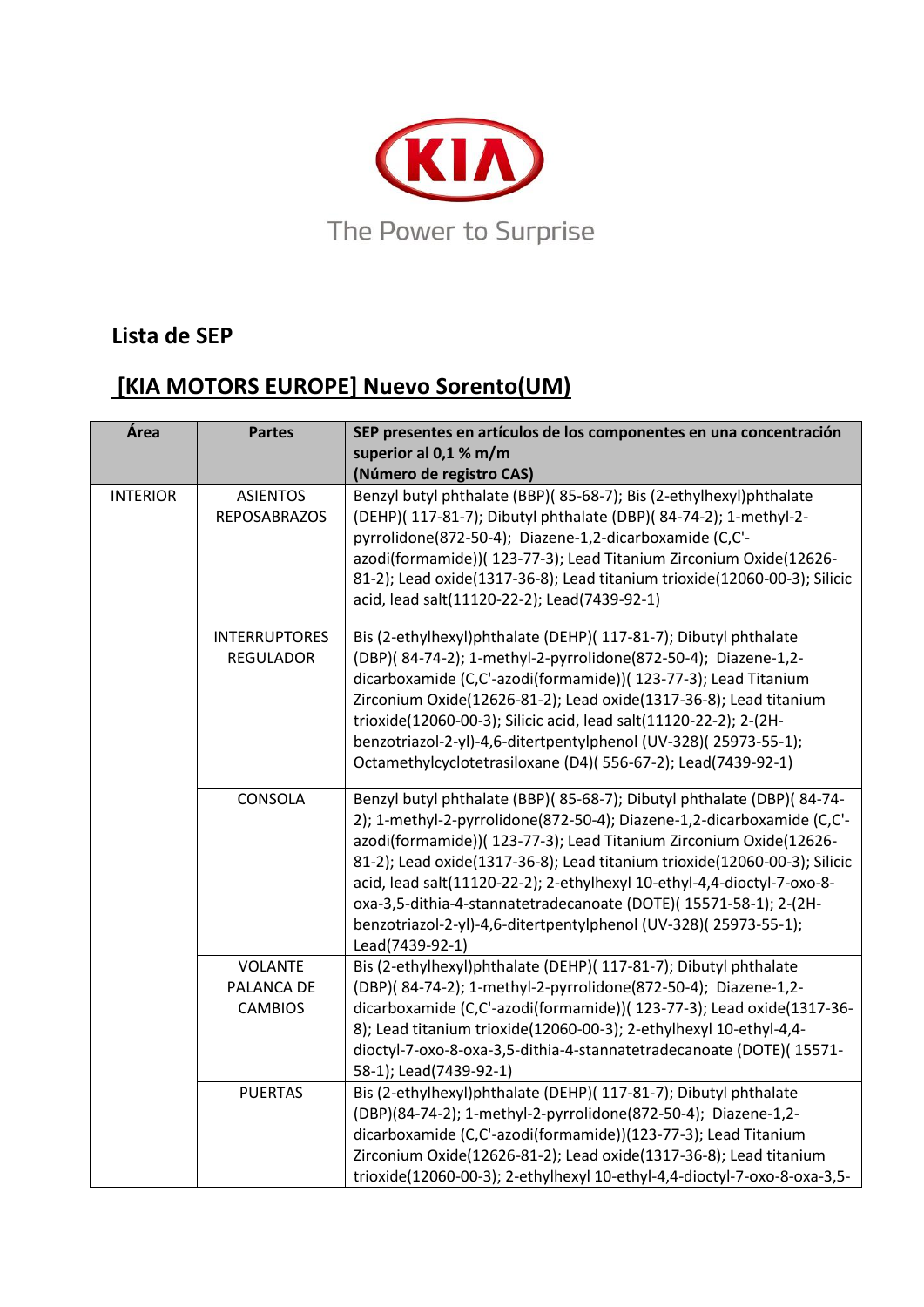

#### **Lista de SEP**

# **[KIA MOTORS EUROPE] Nuevo Sorento(UM)**

| Área            | <b>Partes</b>                                  | SEP presentes en artículos de los componentes en una concentración<br>superior al 0,1 % m/m<br>(Número de registro CAS)                                                                                                                                                                                                                                                                                                                                                                                                                 |
|-----------------|------------------------------------------------|-----------------------------------------------------------------------------------------------------------------------------------------------------------------------------------------------------------------------------------------------------------------------------------------------------------------------------------------------------------------------------------------------------------------------------------------------------------------------------------------------------------------------------------------|
| <b>INTERIOR</b> | <b>ASIENTOS</b><br><b>REPOSABRAZOS</b>         | Benzyl butyl phthalate (BBP)( 85-68-7); Bis (2-ethylhexyl)phthalate<br>(DEHP)( 117-81-7); Dibutyl phthalate (DBP)( 84-74-2); 1-methyl-2-<br>pyrrolidone(872-50-4); Diazene-1,2-dicarboxamide (C,C'-<br>azodi(formamide))( 123-77-3); Lead Titanium Zirconium Oxide(12626-<br>81-2); Lead oxide(1317-36-8); Lead titanium trioxide(12060-00-3); Silicic<br>acid, lead salt(11120-22-2); Lead(7439-92-1)                                                                                                                                  |
|                 | <b>INTERRUPTORES</b><br><b>REGULADOR</b>       | Bis (2-ethylhexyl)phthalate (DEHP)( 117-81-7); Dibutyl phthalate<br>(DBP)(84-74-2); 1-methyl-2-pyrrolidone(872-50-4); Diazene-1,2-<br>dicarboxamide (C,C'-azodi(formamide))( 123-77-3); Lead Titanium<br>Zirconium Oxide(12626-81-2); Lead oxide(1317-36-8); Lead titanium<br>trioxide(12060-00-3); Silicic acid, lead salt(11120-22-2); 2-(2H-<br>benzotriazol-2-yl)-4,6-ditertpentylphenol (UV-328)(25973-55-1);<br>Octamethylcyclotetrasiloxane (D4)(556-67-2); Lead(7439-92-1)                                                      |
|                 | CONSOLA                                        | Benzyl butyl phthalate (BBP)(85-68-7); Dibutyl phthalate (DBP)(84-74-<br>2); 1-methyl-2-pyrrolidone(872-50-4); Diazene-1,2-dicarboxamide (C,C'-<br>azodi(formamide))( 123-77-3); Lead Titanium Zirconium Oxide(12626-<br>81-2); Lead oxide(1317-36-8); Lead titanium trioxide(12060-00-3); Silicic<br>acid, lead salt(11120-22-2); 2-ethylhexyl 10-ethyl-4,4-dioctyl-7-oxo-8-<br>oxa-3,5-dithia-4-stannatetradecanoate (DOTE)(15571-58-1); 2-(2H-<br>benzotriazol-2-yl)-4,6-ditertpentylphenol (UV-328)(25973-55-1);<br>Lead(7439-92-1) |
|                 | <b>VOLANTE</b><br>PALANCA DE<br><b>CAMBIOS</b> | Bis (2-ethylhexyl)phthalate (DEHP)( 117-81-7); Dibutyl phthalate<br>(DBP)(84-74-2); 1-methyl-2-pyrrolidone(872-50-4); Diazene-1,2-<br>dicarboxamide (C,C'-azodi(formamide))( 123-77-3); Lead oxide(1317-36-<br>8); Lead titanium trioxide(12060-00-3); 2-ethylhexyl 10-ethyl-4,4-<br>dioctyl-7-oxo-8-oxa-3,5-dithia-4-stannatetradecanoate (DOTE)(15571-<br>58-1); Lead(7439-92-1)                                                                                                                                                      |
|                 | <b>PUERTAS</b>                                 | Bis (2-ethylhexyl)phthalate (DEHP)( 117-81-7); Dibutyl phthalate<br>(DBP)(84-74-2); 1-methyl-2-pyrrolidone(872-50-4); Diazene-1,2-<br>dicarboxamide (C,C'-azodi(formamide))(123-77-3); Lead Titanium<br>Zirconium Oxide(12626-81-2); Lead oxide(1317-36-8); Lead titanium<br>trioxide(12060-00-3); 2-ethylhexyl 10-ethyl-4,4-dioctyl-7-oxo-8-oxa-3,5-                                                                                                                                                                                   |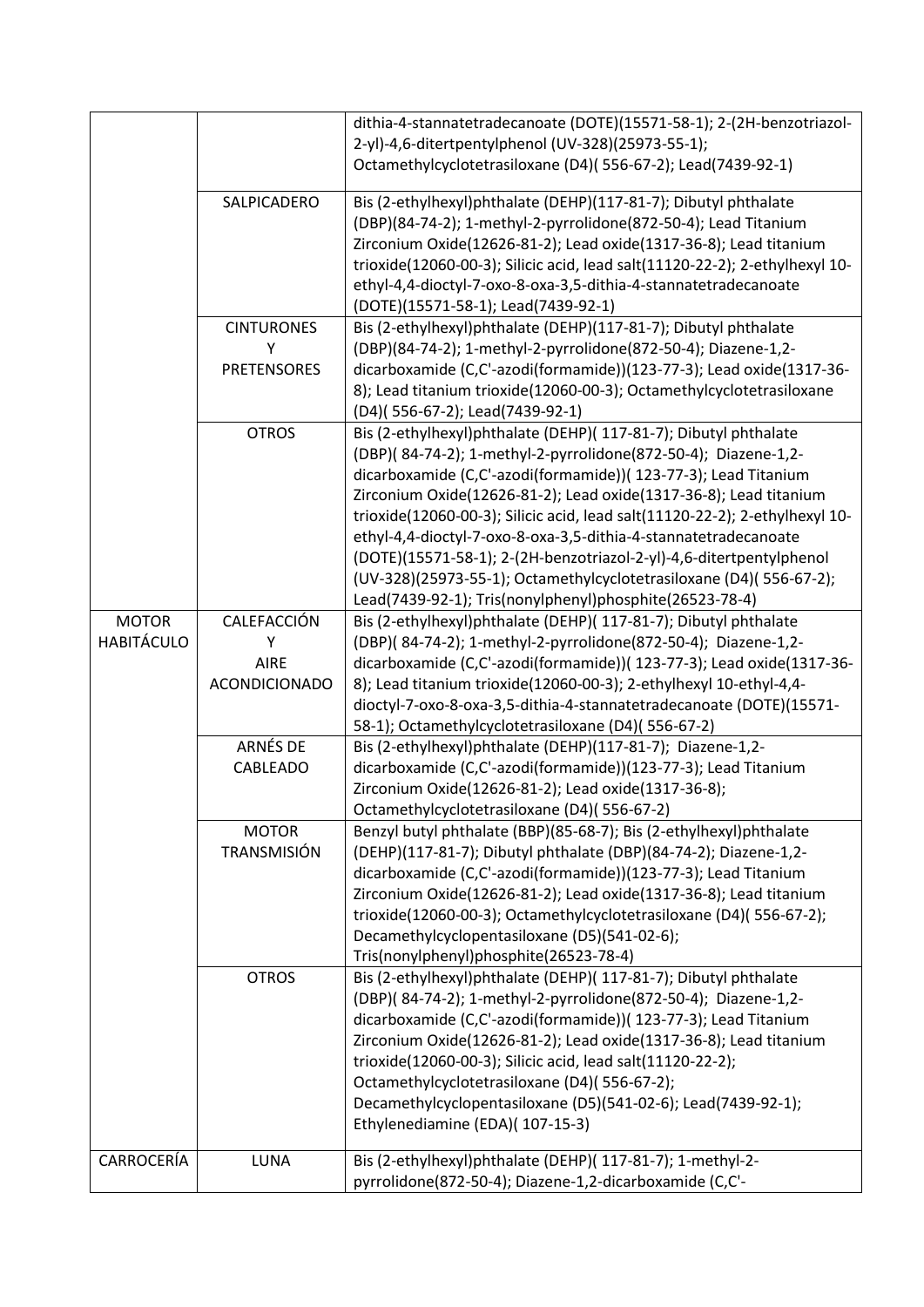|                   |                                     | dithia-4-stannatetradecanoate (DOTE)(15571-58-1); 2-(2H-benzotriazol-<br>2-yl)-4,6-ditertpentylphenol (UV-328)(25973-55-1);                                                                                                                                                                                                                                                                                                                                                                                                                                                                                                          |
|-------------------|-------------------------------------|--------------------------------------------------------------------------------------------------------------------------------------------------------------------------------------------------------------------------------------------------------------------------------------------------------------------------------------------------------------------------------------------------------------------------------------------------------------------------------------------------------------------------------------------------------------------------------------------------------------------------------------|
|                   |                                     | Octamethylcyclotetrasiloxane (D4)(556-67-2); Lead(7439-92-1)                                                                                                                                                                                                                                                                                                                                                                                                                                                                                                                                                                         |
|                   | SALPICADERO                         | Bis (2-ethylhexyl)phthalate (DEHP)(117-81-7); Dibutyl phthalate<br>(DBP)(84-74-2); 1-methyl-2-pyrrolidone(872-50-4); Lead Titanium<br>Zirconium Oxide(12626-81-2); Lead oxide(1317-36-8); Lead titanium<br>trioxide(12060-00-3); Silicic acid, lead salt(11120-22-2); 2-ethylhexyl 10-<br>ethyl-4,4-dioctyl-7-oxo-8-oxa-3,5-dithia-4-stannatetradecanoate                                                                                                                                                                                                                                                                            |
|                   | <b>CINTURONES</b>                   | (DOTE)(15571-58-1); Lead(7439-92-1)<br>Bis (2-ethylhexyl)phthalate (DEHP)(117-81-7); Dibutyl phthalate                                                                                                                                                                                                                                                                                                                                                                                                                                                                                                                               |
|                   | Υ                                   | (DBP)(84-74-2); 1-methyl-2-pyrrolidone(872-50-4); Diazene-1,2-                                                                                                                                                                                                                                                                                                                                                                                                                                                                                                                                                                       |
|                   | <b>PRETENSORES</b>                  | dicarboxamide (C,C'-azodi(formamide))(123-77-3); Lead oxide(1317-36-<br>8); Lead titanium trioxide(12060-00-3); Octamethylcyclotetrasiloxane<br>(D4)(556-67-2); Lead(7439-92-1)                                                                                                                                                                                                                                                                                                                                                                                                                                                      |
|                   | <b>OTROS</b>                        | Bis (2-ethylhexyl)phthalate (DEHP)( 117-81-7); Dibutyl phthalate<br>(DBP)(84-74-2); 1-methyl-2-pyrrolidone(872-50-4); Diazene-1,2-<br>dicarboxamide (C,C'-azodi(formamide))( 123-77-3); Lead Titanium<br>Zirconium Oxide(12626-81-2); Lead oxide(1317-36-8); Lead titanium<br>trioxide(12060-00-3); Silicic acid, lead salt(11120-22-2); 2-ethylhexyl 10-<br>ethyl-4,4-dioctyl-7-oxo-8-oxa-3,5-dithia-4-stannatetradecanoate<br>(DOTE)(15571-58-1); 2-(2H-benzotriazol-2-yl)-4,6-ditertpentylphenol<br>(UV-328)(25973-55-1); Octamethylcyclotetrasiloxane (D4)(556-67-2);<br>Lead(7439-92-1); Tris(nonylphenyl)phosphite(26523-78-4) |
| <b>MOTOR</b>      | CALEFACCIÓN                         | Bis (2-ethylhexyl)phthalate (DEHP)( 117-81-7); Dibutyl phthalate                                                                                                                                                                                                                                                                                                                                                                                                                                                                                                                                                                     |
| <b>HABITÁCULO</b> | Υ                                   | (DBP)(84-74-2); 1-methyl-2-pyrrolidone(872-50-4); Diazene-1,2-                                                                                                                                                                                                                                                                                                                                                                                                                                                                                                                                                                       |
|                   | <b>AIRE</b><br><b>ACONDICIONADO</b> | dicarboxamide (C,C'-azodi(formamide))( 123-77-3); Lead oxide(1317-36-<br>8); Lead titanium trioxide(12060-00-3); 2-ethylhexyl 10-ethyl-4,4-<br>dioctyl-7-oxo-8-oxa-3,5-dithia-4-stannatetradecanoate (DOTE)(15571-                                                                                                                                                                                                                                                                                                                                                                                                                   |
|                   | <b>ARNÉS DE</b>                     | 58-1); Octamethylcyclotetrasiloxane (D4)(556-67-2)<br>Bis (2-ethylhexyl)phthalate (DEHP)(117-81-7); Diazene-1,2-                                                                                                                                                                                                                                                                                                                                                                                                                                                                                                                     |
|                   | <b>CABLEADO</b>                     | dicarboxamide (C,C'-azodi(formamide))(123-77-3); Lead Titanium<br>Zirconium Oxide(12626-81-2); Lead oxide(1317-36-8);<br>Octamethylcyclotetrasiloxane (D4)(556-67-2)                                                                                                                                                                                                                                                                                                                                                                                                                                                                 |
|                   | <b>MOTOR</b><br>TRANSMISIÓN         | Benzyl butyl phthalate (BBP)(85-68-7); Bis (2-ethylhexyl)phthalate<br>(DEHP)(117-81-7); Dibutyl phthalate (DBP)(84-74-2); Diazene-1,2-<br>dicarboxamide (C,C'-azodi(formamide))(123-77-3); Lead Titanium<br>Zirconium Oxide(12626-81-2); Lead oxide(1317-36-8); Lead titanium<br>trioxide(12060-00-3); Octamethylcyclotetrasiloxane (D4)(556-67-2);<br>Decamethylcyclopentasiloxane (D5)(541-02-6);<br>Tris(nonylphenyl)phosphite(26523-78-4)                                                                                                                                                                                        |
|                   | <b>OTROS</b>                        | Bis (2-ethylhexyl)phthalate (DEHP)( 117-81-7); Dibutyl phthalate<br>(DBP)(84-74-2); 1-methyl-2-pyrrolidone(872-50-4); Diazene-1,2-<br>dicarboxamide (C,C'-azodi(formamide))( 123-77-3); Lead Titanium<br>Zirconium Oxide(12626-81-2); Lead oxide(1317-36-8); Lead titanium<br>trioxide(12060-00-3); Silicic acid, lead salt(11120-22-2);<br>Octamethylcyclotetrasiloxane (D4)(556-67-2);<br>Decamethylcyclopentasiloxane (D5)(541-02-6); Lead(7439-92-1);<br>Ethylenediamine (EDA)(107-15-3)                                                                                                                                         |
| CARROCERÍA        | LUNA                                | Bis (2-ethylhexyl)phthalate (DEHP)( 117-81-7); 1-methyl-2-<br>pyrrolidone(872-50-4); Diazene-1,2-dicarboxamide (C,C'-                                                                                                                                                                                                                                                                                                                                                                                                                                                                                                                |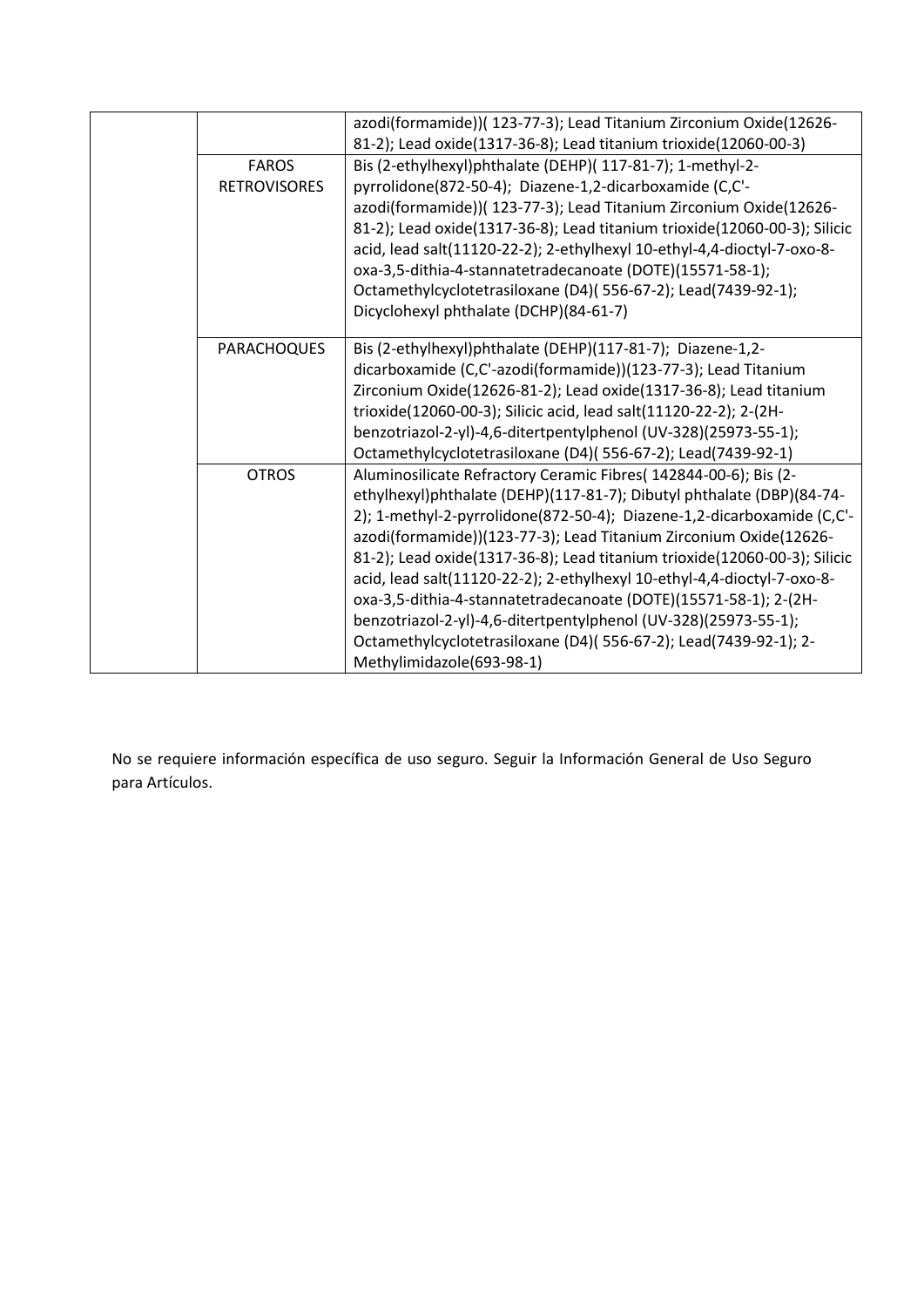| azodi(formamide))( 123-77-3); Lead Titanium Zirconium Oxide(12626-        |
|---------------------------------------------------------------------------|
| 81-2); Lead oxide(1317-36-8); Lead titanium trioxide(12060-00-3)          |
| Bis (2-ethylhexyl)phthalate (DEHP)( 117-81-7); 1-methyl-2-                |
| pyrrolidone(872-50-4); Diazene-1,2-dicarboxamide (C,C'-                   |
| azodi(formamide))( 123-77-3); Lead Titanium Zirconium Oxide(12626-        |
| 81-2); Lead oxide(1317-36-8); Lead titanium trioxide(12060-00-3); Silicic |
| acid, lead salt(11120-22-2); 2-ethylhexyl 10-ethyl-4,4-dioctyl-7-oxo-8-   |
| oxa-3,5-dithia-4-stannatetradecanoate (DOTE)(15571-58-1);                 |
| Octamethylcyclotetrasiloxane (D4)(556-67-2); Lead(7439-92-1);             |
| Dicyclohexyl phthalate (DCHP)(84-61-7)                                    |
|                                                                           |
| Bis (2-ethylhexyl)phthalate (DEHP)(117-81-7); Diazene-1,2-                |
| dicarboxamide (C,C'-azodi(formamide))(123-77-3); Lead Titanium            |
| Zirconium Oxide(12626-81-2); Lead oxide(1317-36-8); Lead titanium         |
| trioxide(12060-00-3); Silicic acid, lead salt(11120-22-2); 2-(2H-         |
| benzotriazol-2-yl)-4,6-ditertpentylphenol (UV-328)(25973-55-1);           |
| Octamethylcyclotetrasiloxane (D4)(556-67-2); Lead(7439-92-1)              |
| Aluminosilicate Refractory Ceramic Fibres( 142844-00-6); Bis (2-          |
| ethylhexyl)phthalate (DEHP)(117-81-7); Dibutyl phthalate (DBP)(84-74-     |
| 2); 1-methyl-2-pyrrolidone(872-50-4); Diazene-1,2-dicarboxamide (C,C'-    |
| azodi(formamide))(123-77-3); Lead Titanium Zirconium Oxide(12626-         |
| 81-2); Lead oxide(1317-36-8); Lead titanium trioxide(12060-00-3); Silicic |
| acid, lead salt(11120-22-2); 2-ethylhexyl 10-ethyl-4,4-dioctyl-7-oxo-8-   |
| oxa-3,5-dithia-4-stannatetradecanoate (DOTE)(15571-58-1); 2-(2H-          |
| benzotriazol-2-yl)-4,6-ditertpentylphenol (UV-328)(25973-55-1);           |
| Octamethylcyclotetrasiloxane (D4)(556-67-2); Lead(7439-92-1); 2-          |
| Methylimidazole(693-98-1)                                                 |
|                                                                           |

No se requiere información específica de uso seguro. Seguir la Información General de Uso Seguro para Artículos.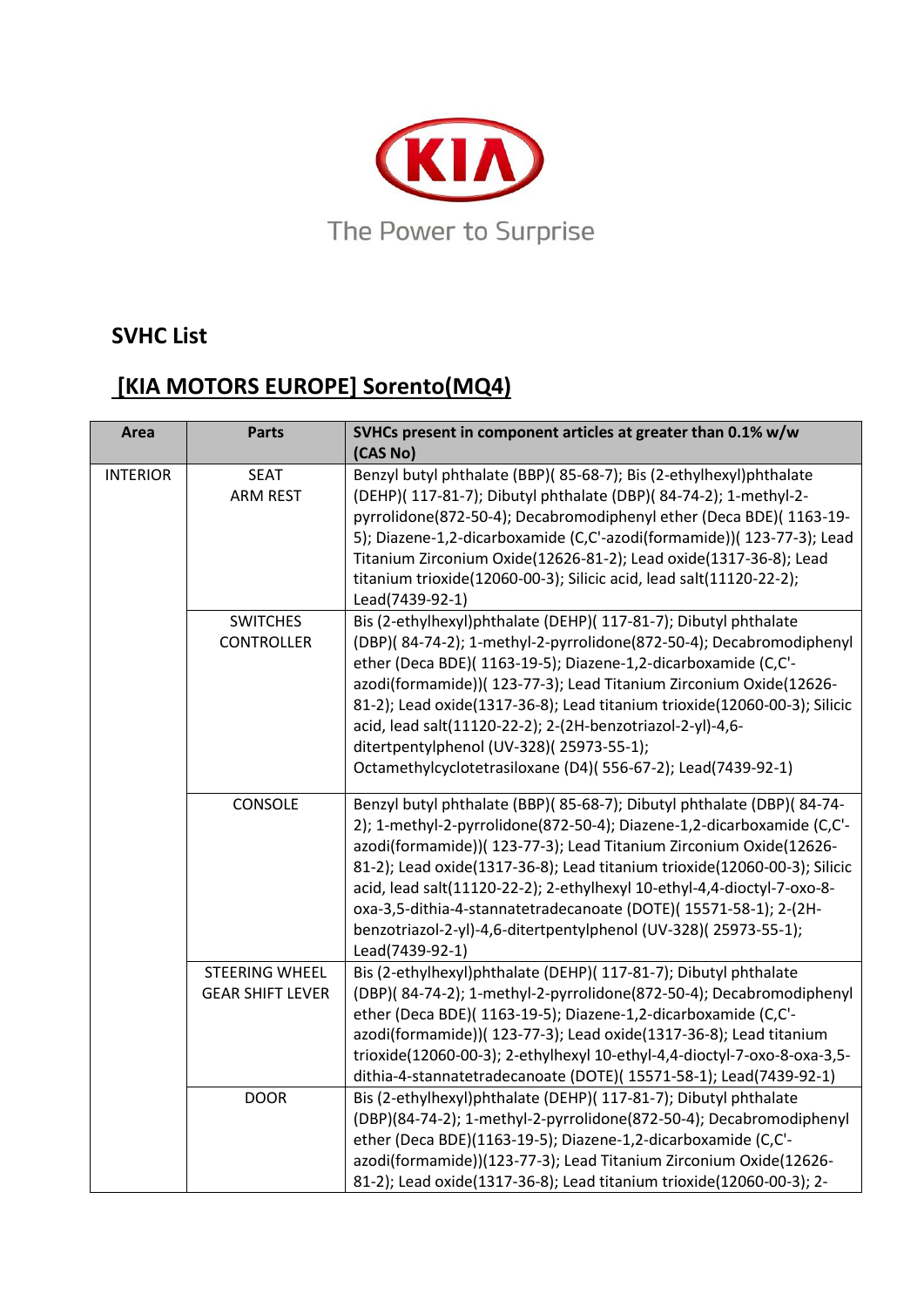

### **SVHC List**

# **[KIA MOTORS EUROPE] Sorento(MQ4)**

| <b>Area</b>     | <b>Parts</b>                                     | SVHCs present in component articles at greater than 0.1% w/w                                                                                                                                                                                                                                                                                                                                                                                                                                                                            |
|-----------------|--------------------------------------------------|-----------------------------------------------------------------------------------------------------------------------------------------------------------------------------------------------------------------------------------------------------------------------------------------------------------------------------------------------------------------------------------------------------------------------------------------------------------------------------------------------------------------------------------------|
|                 |                                                  | (CAS No)                                                                                                                                                                                                                                                                                                                                                                                                                                                                                                                                |
| <b>INTERIOR</b> | <b>SEAT</b><br><b>ARM REST</b>                   | Benzyl butyl phthalate (BBP)(85-68-7); Bis (2-ethylhexyl)phthalate<br>(DEHP)( 117-81-7); Dibutyl phthalate (DBP)( 84-74-2); 1-methyl-2-<br>pyrrolidone(872-50-4); Decabromodiphenyl ether (Deca BDE)(1163-19-<br>5); Diazene-1,2-dicarboxamide (C,C'-azodi(formamide))( 123-77-3); Lead<br>Titanium Zirconium Oxide(12626-81-2); Lead oxide(1317-36-8); Lead<br>titanium trioxide(12060-00-3); Silicic acid, lead salt(11120-22-2);<br>Lead(7439-92-1)                                                                                  |
|                 | <b>SWITCHES</b><br><b>CONTROLLER</b>             | Bis (2-ethylhexyl)phthalate (DEHP)( 117-81-7); Dibutyl phthalate<br>(DBP)(84-74-2); 1-methyl-2-pyrrolidone(872-50-4); Decabromodiphenyl<br>ether (Deca BDE)( 1163-19-5); Diazene-1,2-dicarboxamide (C,C'-<br>azodi(formamide))( 123-77-3); Lead Titanium Zirconium Oxide(12626-<br>81-2); Lead oxide(1317-36-8); Lead titanium trioxide(12060-00-3); Silicic<br>acid, lead salt(11120-22-2); 2-(2H-benzotriazol-2-yl)-4,6-<br>ditertpentylphenol (UV-328)(25973-55-1);<br>Octamethylcyclotetrasiloxane (D4)(556-67-2); Lead(7439-92-1)  |
|                 | CONSOLE                                          | Benzyl butyl phthalate (BBP)(85-68-7); Dibutyl phthalate (DBP)(84-74-<br>2); 1-methyl-2-pyrrolidone(872-50-4); Diazene-1,2-dicarboxamide (C,C'-<br>azodi(formamide))( 123-77-3); Lead Titanium Zirconium Oxide(12626-<br>81-2); Lead oxide(1317-36-8); Lead titanium trioxide(12060-00-3); Silicic<br>acid, lead salt(11120-22-2); 2-ethylhexyl 10-ethyl-4,4-dioctyl-7-oxo-8-<br>oxa-3,5-dithia-4-stannatetradecanoate (DOTE)(15571-58-1); 2-(2H-<br>benzotriazol-2-yl)-4,6-ditertpentylphenol (UV-328)(25973-55-1);<br>Lead(7439-92-1) |
|                 | <b>STEERING WHEEL</b><br><b>GEAR SHIFT LEVER</b> | Bis (2-ethylhexyl)phthalate (DEHP)( 117-81-7); Dibutyl phthalate<br>(DBP)(84-74-2); 1-methyl-2-pyrrolidone(872-50-4); Decabromodiphenyl<br>ether (Deca BDE)( 1163-19-5); Diazene-1,2-dicarboxamide (C,C'-<br>azodi(formamide))( 123-77-3); Lead oxide(1317-36-8); Lead titanium<br>trioxide(12060-00-3); 2-ethylhexyl 10-ethyl-4,4-dioctyl-7-oxo-8-oxa-3,5-<br>dithia-4-stannatetradecanoate (DOTE)(15571-58-1); Lead(7439-92-1)                                                                                                        |
|                 | <b>DOOR</b>                                      | Bis (2-ethylhexyl)phthalate (DEHP)( 117-81-7); Dibutyl phthalate<br>(DBP)(84-74-2); 1-methyl-2-pyrrolidone(872-50-4); Decabromodiphenyl<br>ether (Deca BDE)(1163-19-5); Diazene-1,2-dicarboxamide (C,C'-<br>azodi(formamide))(123-77-3); Lead Titanium Zirconium Oxide(12626-<br>81-2); Lead oxide(1317-36-8); Lead titanium trioxide(12060-00-3); 2-                                                                                                                                                                                   |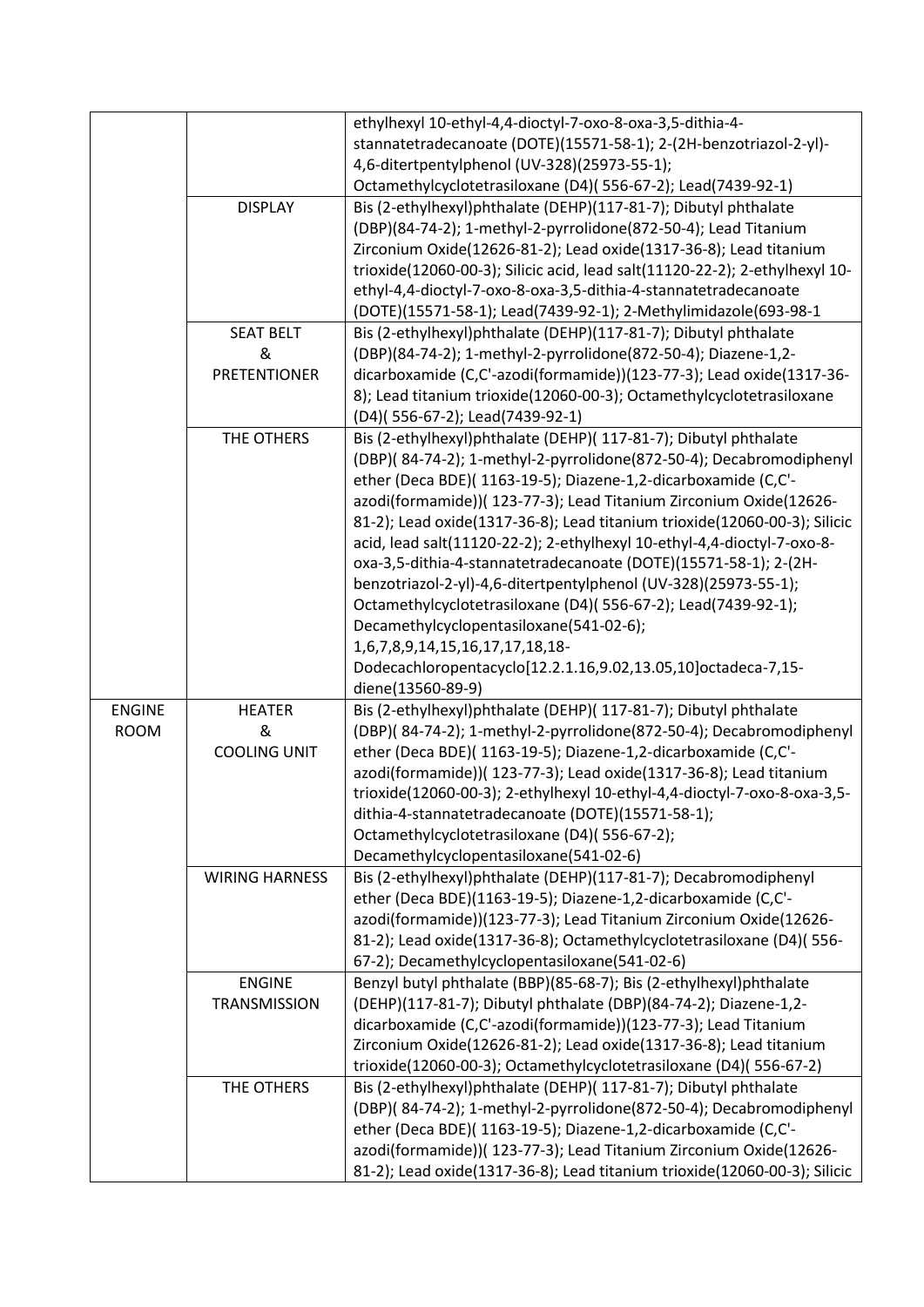|               |                       | ethylhexyl 10-ethyl-4,4-dioctyl-7-oxo-8-oxa-3,5-dithia-4-                   |
|---------------|-----------------------|-----------------------------------------------------------------------------|
|               |                       | stannatetradecanoate (DOTE)(15571-58-1); 2-(2H-benzotriazol-2-yl)-          |
|               |                       | 4,6-ditertpentylphenol (UV-328)(25973-55-1);                                |
|               |                       | Octamethylcyclotetrasiloxane (D4)(556-67-2); Lead(7439-92-1)                |
|               | <b>DISPLAY</b>        | Bis (2-ethylhexyl)phthalate (DEHP)(117-81-7); Dibutyl phthalate             |
|               |                       | (DBP)(84-74-2); 1-methyl-2-pyrrolidone(872-50-4); Lead Titanium             |
|               |                       | Zirconium Oxide(12626-81-2); Lead oxide(1317-36-8); Lead titanium           |
|               |                       | trioxide(12060-00-3); Silicic acid, lead salt(11120-22-2); 2-ethylhexyl 10- |
|               |                       | ethyl-4,4-dioctyl-7-oxo-8-oxa-3,5-dithia-4-stannatetradecanoate             |
|               |                       | (DOTE)(15571-58-1); Lead(7439-92-1); 2-Methylimidazole(693-98-1             |
|               | <b>SEAT BELT</b>      | Bis (2-ethylhexyl)phthalate (DEHP)(117-81-7); Dibutyl phthalate             |
|               | &                     | (DBP)(84-74-2); 1-methyl-2-pyrrolidone(872-50-4); Diazene-1,2-              |
|               | <b>PRETENTIONER</b>   | dicarboxamide (C,C'-azodi(formamide))(123-77-3); Lead oxide(1317-36-        |
|               |                       | 8); Lead titanium trioxide(12060-00-3); Octamethylcyclotetrasiloxane        |
|               |                       | (D4)(556-67-2); Lead(7439-92-1)                                             |
|               | THE OTHERS            | Bis (2-ethylhexyl)phthalate (DEHP)( 117-81-7); Dibutyl phthalate            |
|               |                       | (DBP)(84-74-2); 1-methyl-2-pyrrolidone(872-50-4); Decabromodiphenyl         |
|               |                       | ether (Deca BDE)(1163-19-5); Diazene-1,2-dicarboxamide (C,C'-               |
|               |                       | azodi(formamide))( 123-77-3); Lead Titanium Zirconium Oxide(12626-          |
|               |                       | 81-2); Lead oxide(1317-36-8); Lead titanium trioxide(12060-00-3); Silicic   |
|               |                       | acid, lead salt(11120-22-2); 2-ethylhexyl 10-ethyl-4,4-dioctyl-7-oxo-8-     |
|               |                       | oxa-3,5-dithia-4-stannatetradecanoate (DOTE)(15571-58-1); 2-(2H-            |
|               |                       | benzotriazol-2-yl)-4,6-ditertpentylphenol (UV-328)(25973-55-1);             |
|               |                       | Octamethylcyclotetrasiloxane (D4)(556-67-2); Lead(7439-92-1);               |
|               |                       | Decamethylcyclopentasiloxane(541-02-6);                                     |
|               |                       | 1,6,7,8,9,14,15,16,17,17,18,18-                                             |
|               |                       | Dodecachloropentacyclo[12.2.1.16,9.02,13.05,10]octadeca-7,15-               |
|               |                       | diene(13560-89-9)                                                           |
| <b>ENGINE</b> | <b>HEATER</b>         | Bis (2-ethylhexyl)phthalate (DEHP)( 117-81-7); Dibutyl phthalate            |
| <b>ROOM</b>   | &                     | (DBP)(84-74-2); 1-methyl-2-pyrrolidone(872-50-4); Decabromodiphenyl         |
|               | <b>COOLING UNIT</b>   | ether (Deca BDE)( 1163-19-5); Diazene-1,2-dicarboxamide (C,C'-              |
|               |                       | azodi(formamide))( 123-77-3); Lead oxide(1317-36-8); Lead titanium          |
|               |                       | trioxide(12060-00-3); 2-ethylhexyl 10-ethyl-4,4-dioctyl-7-oxo-8-oxa-3,5-    |
|               |                       | dithia-4-stannatetradecanoate (DOTE)(15571-58-1);                           |
|               |                       | Octamethylcyclotetrasiloxane (D4)(556-67-2);                                |
|               |                       | Decamethylcyclopentasiloxane(541-02-6)                                      |
|               | <b>WIRING HARNESS</b> | Bis (2-ethylhexyl)phthalate (DEHP)(117-81-7); Decabromodiphenyl             |
|               |                       | ether (Deca BDE)(1163-19-5); Diazene-1,2-dicarboxamide (C,C'-               |
|               |                       | azodi(formamide))(123-77-3); Lead Titanium Zirconium Oxide(12626-           |
|               |                       | 81-2); Lead oxide(1317-36-8); Octamethylcyclotetrasiloxane (D4)( 556-       |
|               |                       | 67-2); Decamethylcyclopentasiloxane(541-02-6)                               |
|               | <b>ENGINE</b>         | Benzyl butyl phthalate (BBP)(85-68-7); Bis (2-ethylhexyl)phthalate          |
|               |                       |                                                                             |
|               | <b>TRANSMISSION</b>   | (DEHP)(117-81-7); Dibutyl phthalate (DBP)(84-74-2); Diazene-1,2-            |
|               |                       | dicarboxamide (C,C'-azodi(formamide))(123-77-3); Lead Titanium              |
|               |                       | Zirconium Oxide(12626-81-2); Lead oxide(1317-36-8); Lead titanium           |
|               |                       | trioxide(12060-00-3); Octamethylcyclotetrasiloxane (D4)(556-67-2)           |
|               | THE OTHERS            | Bis (2-ethylhexyl)phthalate (DEHP)( 117-81-7); Dibutyl phthalate            |
|               |                       | (DBP)(84-74-2); 1-methyl-2-pyrrolidone(872-50-4); Decabromodiphenyl         |
|               |                       | ether (Deca BDE)( 1163-19-5); Diazene-1,2-dicarboxamide (C,C'-              |
|               |                       | azodi(formamide))( 123-77-3); Lead Titanium Zirconium Oxide(12626-          |
|               |                       | 81-2); Lead oxide(1317-36-8); Lead titanium trioxide(12060-00-3); Silicic   |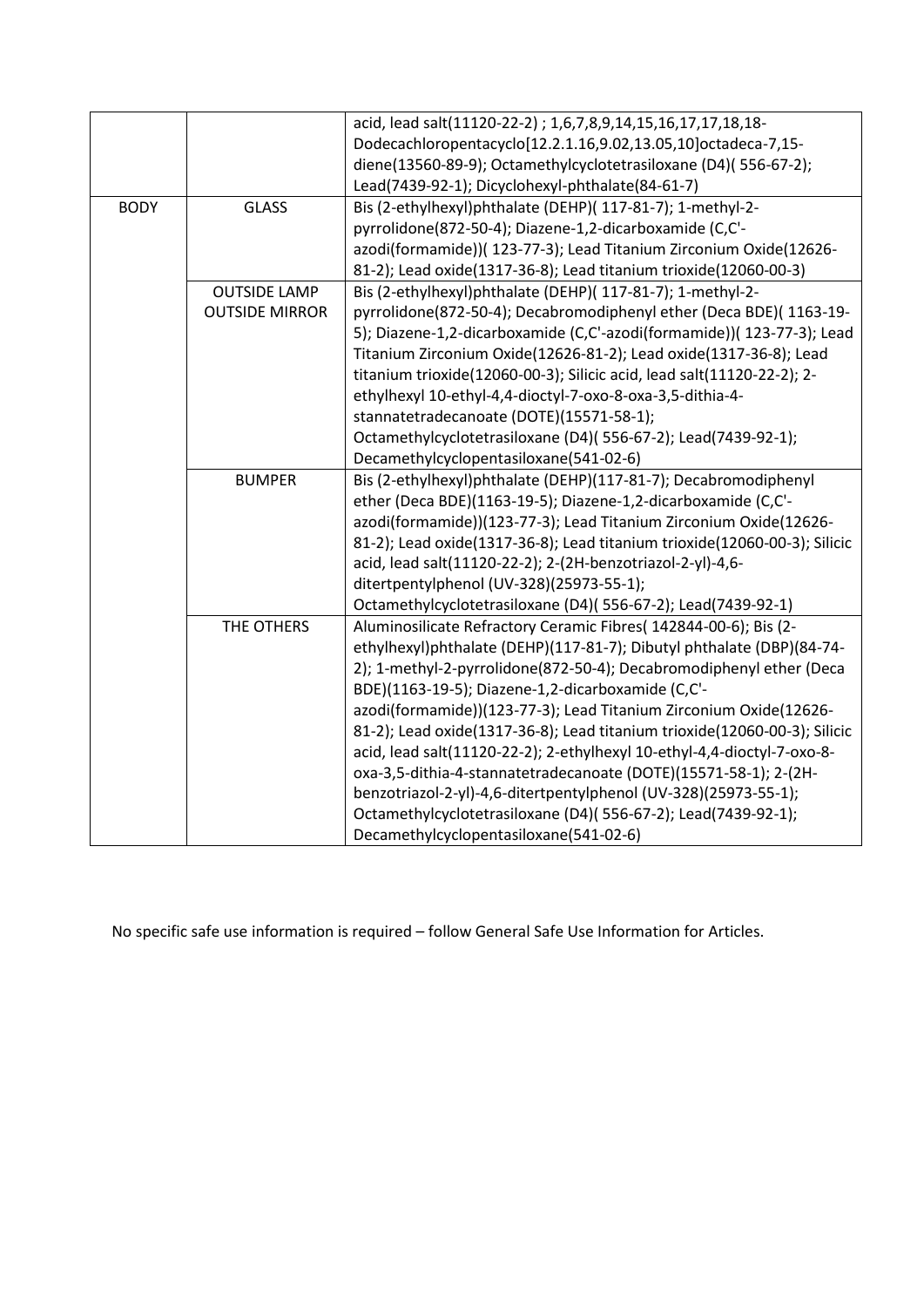|             |                       | acid, lead salt(11120-22-2) ; 1,6,7,8,9,14,15,16,17,17,18,18-             |
|-------------|-----------------------|---------------------------------------------------------------------------|
|             |                       | Dodecachloropentacyclo[12.2.1.16,9.02,13.05,10]octadeca-7,15-             |
|             |                       | diene(13560-89-9); Octamethylcyclotetrasiloxane (D4)(556-67-2);           |
|             |                       | Lead(7439-92-1); Dicyclohexyl-phthalate(84-61-7)                          |
| <b>BODY</b> | <b>GLASS</b>          | Bis (2-ethylhexyl)phthalate (DEHP)( 117-81-7); 1-methyl-2-                |
|             |                       | pyrrolidone(872-50-4); Diazene-1,2-dicarboxamide (C,C'-                   |
|             |                       | azodi(formamide))( 123-77-3); Lead Titanium Zirconium Oxide(12626-        |
|             |                       | 81-2); Lead oxide(1317-36-8); Lead titanium trioxide(12060-00-3)          |
|             | <b>OUTSIDE LAMP</b>   | Bis (2-ethylhexyl)phthalate (DEHP)( 117-81-7); 1-methyl-2-                |
|             | <b>OUTSIDE MIRROR</b> | pyrrolidone(872-50-4); Decabromodiphenyl ether (Deca BDE)(1163-19-        |
|             |                       | 5); Diazene-1,2-dicarboxamide (C,C'-azodi(formamide))( 123-77-3); Lead    |
|             |                       | Titanium Zirconium Oxide(12626-81-2); Lead oxide(1317-36-8); Lead         |
|             |                       | titanium trioxide(12060-00-3); Silicic acid, lead salt(11120-22-2); 2-    |
|             |                       | ethylhexyl 10-ethyl-4,4-dioctyl-7-oxo-8-oxa-3,5-dithia-4-                 |
|             |                       | stannatetradecanoate (DOTE)(15571-58-1);                                  |
|             |                       | Octamethylcyclotetrasiloxane (D4)(556-67-2); Lead(7439-92-1);             |
|             |                       | Decamethylcyclopentasiloxane(541-02-6)                                    |
|             | <b>BUMPER</b>         | Bis (2-ethylhexyl)phthalate (DEHP)(117-81-7); Decabromodiphenyl           |
|             |                       | ether (Deca BDE)(1163-19-5); Diazene-1,2-dicarboxamide (C,C'-             |
|             |                       | azodi(formamide))(123-77-3); Lead Titanium Zirconium Oxide(12626-         |
|             |                       | 81-2); Lead oxide(1317-36-8); Lead titanium trioxide(12060-00-3); Silicic |
|             |                       | acid, lead salt(11120-22-2); 2-(2H-benzotriazol-2-yl)-4,6-                |
|             |                       | ditertpentylphenol (UV-328)(25973-55-1);                                  |
|             |                       | Octamethylcyclotetrasiloxane (D4)(556-67-2); Lead(7439-92-1)              |
|             | THE OTHERS            | Aluminosilicate Refractory Ceramic Fibres( 142844-00-6); Bis (2-          |
|             |                       | ethylhexyl)phthalate (DEHP)(117-81-7); Dibutyl phthalate (DBP)(84-74-     |
|             |                       | 2); 1-methyl-2-pyrrolidone(872-50-4); Decabromodiphenyl ether (Deca       |
|             |                       | BDE)(1163-19-5); Diazene-1,2-dicarboxamide (C,C'-                         |
|             |                       | azodi(formamide))(123-77-3); Lead Titanium Zirconium Oxide(12626-         |
|             |                       | 81-2); Lead oxide(1317-36-8); Lead titanium trioxide(12060-00-3); Silicic |
|             |                       | acid, lead salt(11120-22-2); 2-ethylhexyl 10-ethyl-4,4-dioctyl-7-oxo-8-   |
|             |                       | oxa-3,5-dithia-4-stannatetradecanoate (DOTE)(15571-58-1); 2-(2H-          |
|             |                       | benzotriazol-2-yl)-4,6-ditertpentylphenol (UV-328)(25973-55-1);           |
|             |                       | Octamethylcyclotetrasiloxane (D4)(556-67-2); Lead(7439-92-1);             |
|             |                       | Decamethylcyclopentasiloxane(541-02-6)                                    |

No specific safe use information is required – follow General Safe Use Information for Articles.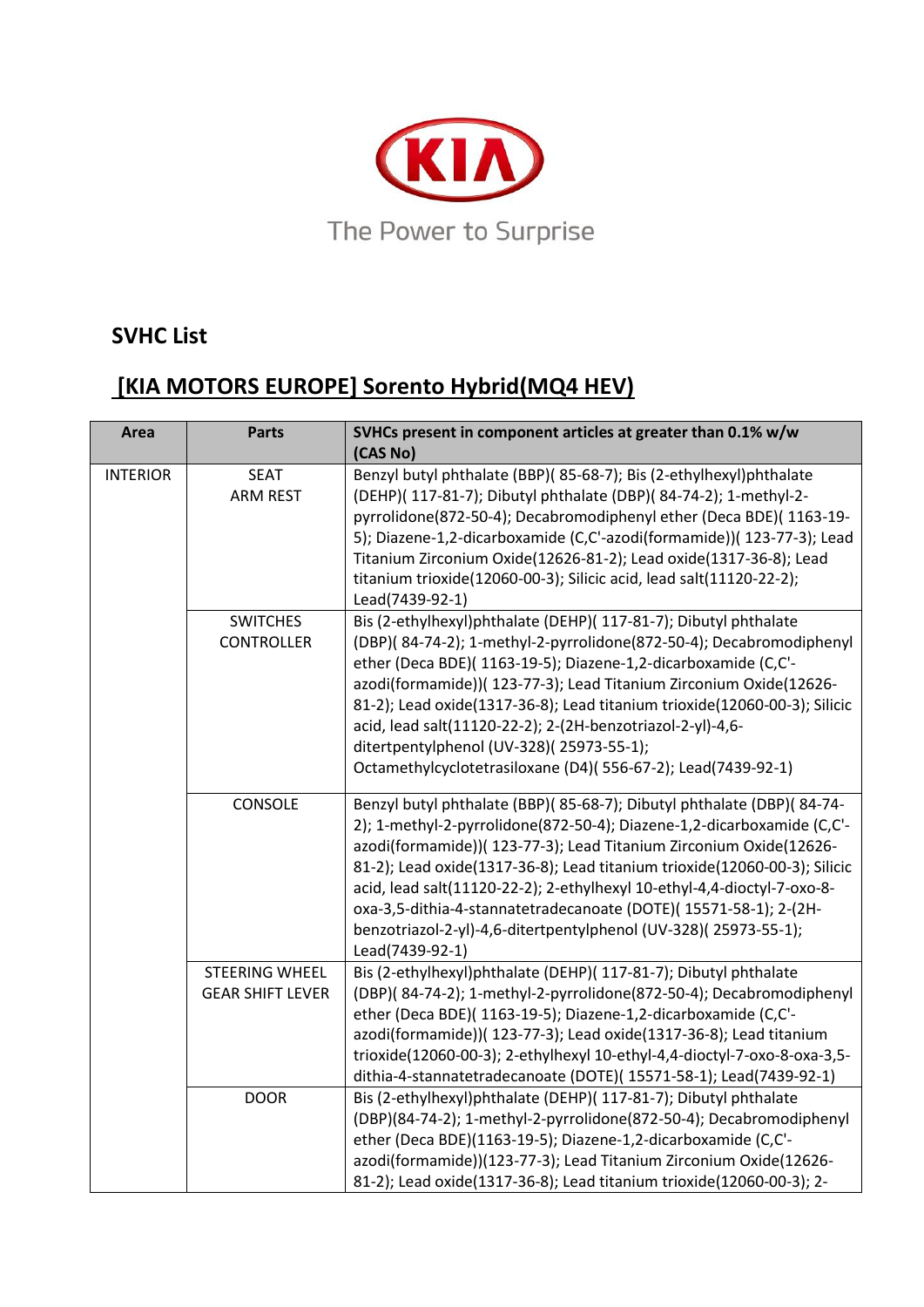

### **SVHC List**

# **[KIA MOTORS EUROPE] Sorento Hybrid(MQ4 HEV)**

| <b>Area</b>     | <b>Parts</b>                                     | SVHCs present in component articles at greater than 0.1% w/w                                                                                                                                                                                                                                                                                                                                                                                                                                                                            |
|-----------------|--------------------------------------------------|-----------------------------------------------------------------------------------------------------------------------------------------------------------------------------------------------------------------------------------------------------------------------------------------------------------------------------------------------------------------------------------------------------------------------------------------------------------------------------------------------------------------------------------------|
|                 |                                                  | (CAS No)                                                                                                                                                                                                                                                                                                                                                                                                                                                                                                                                |
| <b>INTERIOR</b> | <b>SEAT</b><br><b>ARM REST</b>                   | Benzyl butyl phthalate (BBP)(85-68-7); Bis (2-ethylhexyl)phthalate<br>(DEHP)( 117-81-7); Dibutyl phthalate (DBP)( 84-74-2); 1-methyl-2-<br>pyrrolidone(872-50-4); Decabromodiphenyl ether (Deca BDE)(1163-19-<br>5); Diazene-1,2-dicarboxamide (C,C'-azodi(formamide))( 123-77-3); Lead<br>Titanium Zirconium Oxide(12626-81-2); Lead oxide(1317-36-8); Lead<br>titanium trioxide(12060-00-3); Silicic acid, lead salt(11120-22-2);<br>Lead(7439-92-1)                                                                                  |
|                 | <b>SWITCHES</b><br><b>CONTROLLER</b>             | Bis (2-ethylhexyl)phthalate (DEHP)( 117-81-7); Dibutyl phthalate<br>(DBP)(84-74-2); 1-methyl-2-pyrrolidone(872-50-4); Decabromodiphenyl<br>ether (Deca BDE)( 1163-19-5); Diazene-1,2-dicarboxamide (C,C'-<br>azodi(formamide))( 123-77-3); Lead Titanium Zirconium Oxide(12626-<br>81-2); Lead oxide(1317-36-8); Lead titanium trioxide(12060-00-3); Silicic<br>acid, lead salt(11120-22-2); 2-(2H-benzotriazol-2-yl)-4,6-<br>ditertpentylphenol (UV-328)(25973-55-1);<br>Octamethylcyclotetrasiloxane (D4)(556-67-2); Lead(7439-92-1)  |
|                 | CONSOLE                                          | Benzyl butyl phthalate (BBP)(85-68-7); Dibutyl phthalate (DBP)(84-74-<br>2); 1-methyl-2-pyrrolidone(872-50-4); Diazene-1,2-dicarboxamide (C,C'-<br>azodi(formamide))( 123-77-3); Lead Titanium Zirconium Oxide(12626-<br>81-2); Lead oxide(1317-36-8); Lead titanium trioxide(12060-00-3); Silicic<br>acid, lead salt(11120-22-2); 2-ethylhexyl 10-ethyl-4,4-dioctyl-7-oxo-8-<br>oxa-3,5-dithia-4-stannatetradecanoate (DOTE)(15571-58-1); 2-(2H-<br>benzotriazol-2-yl)-4,6-ditertpentylphenol (UV-328)(25973-55-1);<br>Lead(7439-92-1) |
|                 | <b>STEERING WHEEL</b><br><b>GEAR SHIFT LEVER</b> | Bis (2-ethylhexyl)phthalate (DEHP)( 117-81-7); Dibutyl phthalate<br>(DBP)(84-74-2); 1-methyl-2-pyrrolidone(872-50-4); Decabromodiphenyl<br>ether (Deca BDE)( 1163-19-5); Diazene-1,2-dicarboxamide (C,C'-<br>azodi(formamide))( 123-77-3); Lead oxide(1317-36-8); Lead titanium<br>trioxide(12060-00-3); 2-ethylhexyl 10-ethyl-4,4-dioctyl-7-oxo-8-oxa-3,5-<br>dithia-4-stannatetradecanoate (DOTE)(15571-58-1); Lead(7439-92-1)                                                                                                        |
|                 | <b>DOOR</b>                                      | Bis (2-ethylhexyl)phthalate (DEHP)( 117-81-7); Dibutyl phthalate<br>(DBP)(84-74-2); 1-methyl-2-pyrrolidone(872-50-4); Decabromodiphenyl<br>ether (Deca BDE)(1163-19-5); Diazene-1,2-dicarboxamide (C,C'-<br>azodi(formamide))(123-77-3); Lead Titanium Zirconium Oxide(12626-<br>81-2); Lead oxide(1317-36-8); Lead titanium trioxide(12060-00-3); 2-                                                                                                                                                                                   |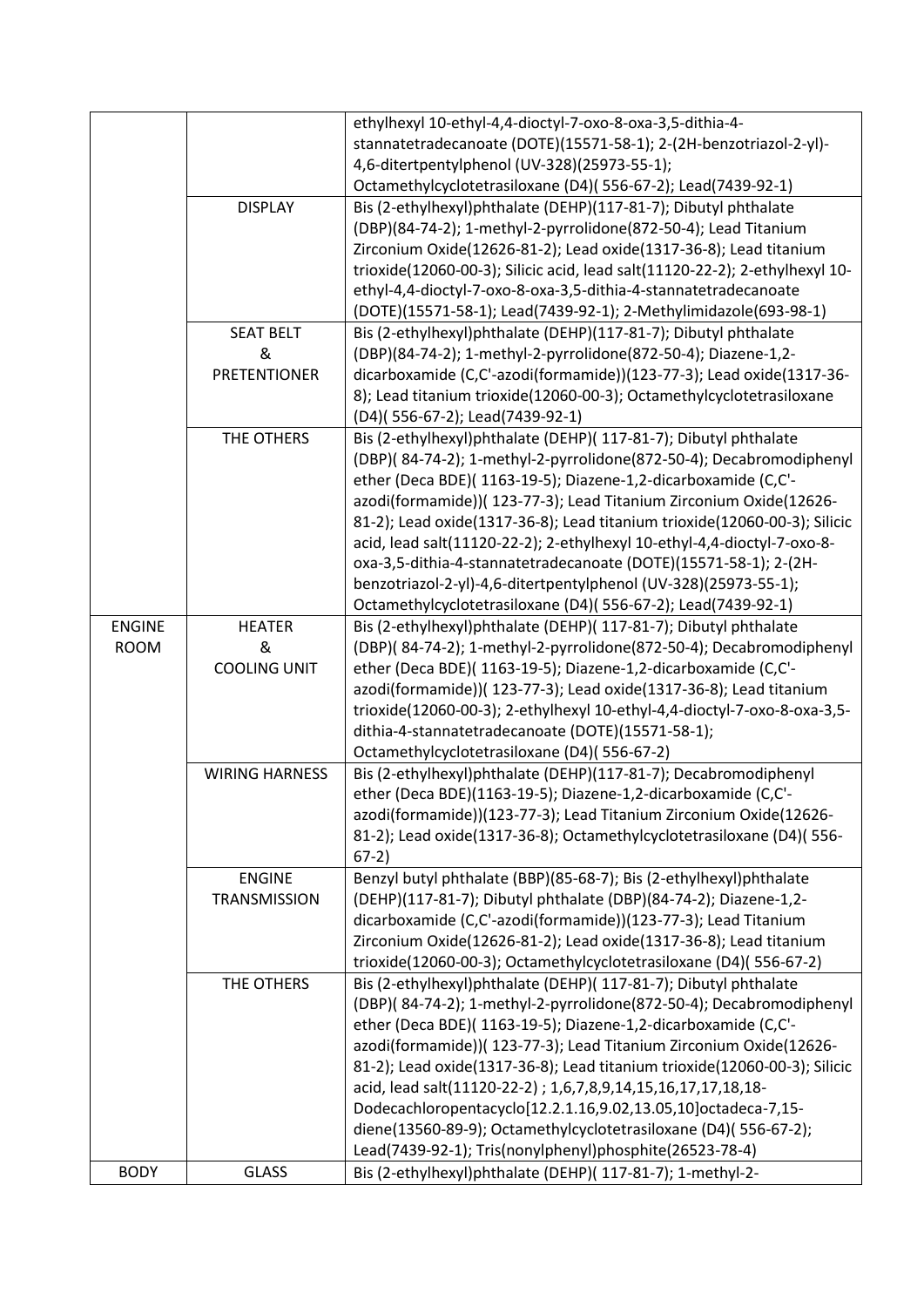|               |                       | ethylhexyl 10-ethyl-4,4-dioctyl-7-oxo-8-oxa-3,5-dithia-4-                   |
|---------------|-----------------------|-----------------------------------------------------------------------------|
|               |                       | stannatetradecanoate (DOTE)(15571-58-1); 2-(2H-benzotriazol-2-yl)-          |
|               |                       | 4,6-ditertpentylphenol (UV-328)(25973-55-1);                                |
|               |                       | Octamethylcyclotetrasiloxane (D4)(556-67-2); Lead(7439-92-1)                |
|               | <b>DISPLAY</b>        | Bis (2-ethylhexyl)phthalate (DEHP)(117-81-7); Dibutyl phthalate             |
|               |                       | (DBP)(84-74-2); 1-methyl-2-pyrrolidone(872-50-4); Lead Titanium             |
|               |                       | Zirconium Oxide(12626-81-2); Lead oxide(1317-36-8); Lead titanium           |
|               |                       | trioxide(12060-00-3); Silicic acid, lead salt(11120-22-2); 2-ethylhexyl 10- |
|               |                       | ethyl-4,4-dioctyl-7-oxo-8-oxa-3,5-dithia-4-stannatetradecanoate             |
|               |                       | (DOTE)(15571-58-1); Lead(7439-92-1); 2-Methylimidazole(693-98-1)            |
|               | <b>SEAT BELT</b>      | Bis (2-ethylhexyl)phthalate (DEHP)(117-81-7); Dibutyl phthalate             |
|               | &                     | (DBP)(84-74-2); 1-methyl-2-pyrrolidone(872-50-4); Diazene-1,2-              |
|               | <b>PRETENTIONER</b>   | dicarboxamide (C,C'-azodi(formamide))(123-77-3); Lead oxide(1317-36-        |
|               |                       | 8); Lead titanium trioxide(12060-00-3); Octamethylcyclotetrasiloxane        |
|               |                       | (D4)(556-67-2); Lead(7439-92-1)                                             |
|               | THE OTHERS            | Bis (2-ethylhexyl)phthalate (DEHP)( 117-81-7); Dibutyl phthalate            |
|               |                       | (DBP)(84-74-2); 1-methyl-2-pyrrolidone(872-50-4); Decabromodiphenyl         |
|               |                       | ether (Deca BDE)( 1163-19-5); Diazene-1,2-dicarboxamide (C,C'-              |
|               |                       |                                                                             |
|               |                       | azodi(formamide))( 123-77-3); Lead Titanium Zirconium Oxide(12626-          |
|               |                       | 81-2); Lead oxide(1317-36-8); Lead titanium trioxide(12060-00-3); Silicic   |
|               |                       | acid, lead salt(11120-22-2); 2-ethylhexyl 10-ethyl-4,4-dioctyl-7-oxo-8-     |
|               |                       | oxa-3,5-dithia-4-stannatetradecanoate (DOTE)(15571-58-1); 2-(2H-            |
|               |                       | benzotriazol-2-yl)-4,6-ditertpentylphenol (UV-328)(25973-55-1);             |
|               |                       | Octamethylcyclotetrasiloxane (D4)(556-67-2); Lead(7439-92-1)                |
| <b>ENGINE</b> | <b>HEATER</b>         | Bis (2-ethylhexyl)phthalate (DEHP)( 117-81-7); Dibutyl phthalate            |
| <b>ROOM</b>   | &                     | (DBP)(84-74-2); 1-methyl-2-pyrrolidone(872-50-4); Decabromodiphenyl         |
|               | <b>COOLING UNIT</b>   | ether (Deca BDE)( 1163-19-5); Diazene-1,2-dicarboxamide (C,C'-              |
|               |                       | azodi(formamide))( 123-77-3); Lead oxide(1317-36-8); Lead titanium          |
|               |                       | trioxide(12060-00-3); 2-ethylhexyl 10-ethyl-4,4-dioctyl-7-oxo-8-oxa-3,5-    |
|               |                       | dithia-4-stannatetradecanoate (DOTE)(15571-58-1);                           |
|               |                       | Octamethylcyclotetrasiloxane (D4)(556-67-2)                                 |
|               | <b>WIRING HARNESS</b> | Bis (2-ethylhexyl)phthalate (DEHP)(117-81-7); Decabromodiphenyl             |
|               |                       | ether (Deca BDE)(1163-19-5); Diazene-1,2-dicarboxamide (C,C'-               |
|               |                       | azodi(formamide))(123-77-3); Lead Titanium Zirconium Oxide(12626-           |
|               |                       | 81-2); Lead oxide(1317-36-8); Octamethylcyclotetrasiloxane (D4)(556-        |
|               |                       | $67-2)$                                                                     |
|               | <b>ENGINE</b>         | Benzyl butyl phthalate (BBP)(85-68-7); Bis (2-ethylhexyl)phthalate          |
|               | <b>TRANSMISSION</b>   | (DEHP)(117-81-7); Dibutyl phthalate (DBP)(84-74-2); Diazene-1,2-            |
|               |                       | dicarboxamide (C,C'-azodi(formamide))(123-77-3); Lead Titanium              |
|               |                       | Zirconium Oxide(12626-81-2); Lead oxide(1317-36-8); Lead titanium           |
|               |                       | trioxide(12060-00-3); Octamethylcyclotetrasiloxane (D4)(556-67-2)           |
|               | THE OTHERS            | Bis (2-ethylhexyl)phthalate (DEHP)( 117-81-7); Dibutyl phthalate            |
|               |                       | (DBP)(84-74-2); 1-methyl-2-pyrrolidone(872-50-4); Decabromodiphenyl         |
|               |                       | ether (Deca BDE)( 1163-19-5); Diazene-1,2-dicarboxamide (C,C'-              |
|               |                       | azodi(formamide))( 123-77-3); Lead Titanium Zirconium Oxide(12626-          |
|               |                       | 81-2); Lead oxide(1317-36-8); Lead titanium trioxide(12060-00-3); Silicic   |
|               |                       | acid, lead salt(11120-22-2) ; 1,6,7,8,9,14,15,16,17,17,18,18-               |
|               |                       | Dodecachloropentacyclo[12.2.1.16,9.02,13.05,10]octadeca-7,15-               |
|               |                       | diene(13560-89-9); Octamethylcyclotetrasiloxane (D4)(556-67-2);             |
|               |                       |                                                                             |
|               |                       | Lead(7439-92-1); Tris(nonylphenyl)phosphite(26523-78-4)                     |
| <b>BODY</b>   | <b>GLASS</b>          | Bis (2-ethylhexyl)phthalate (DEHP)( 117-81-7); 1-methyl-2-                  |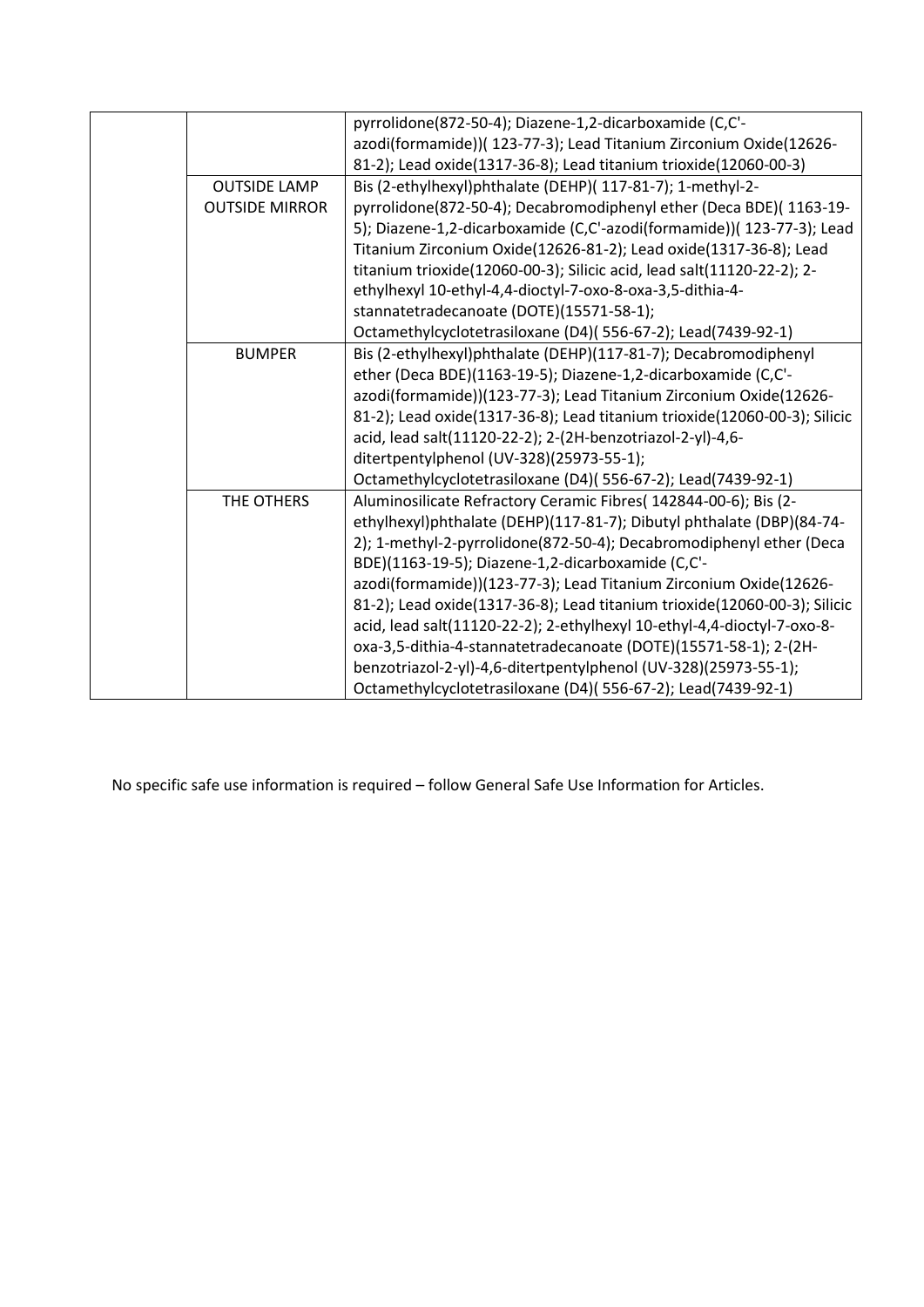|                       | pyrrolidone(872-50-4); Diazene-1,2-dicarboxamide (C,C'-                   |
|-----------------------|---------------------------------------------------------------------------|
|                       | azodi(formamide))( 123-77-3); Lead Titanium Zirconium Oxide(12626-        |
|                       | 81-2); Lead oxide(1317-36-8); Lead titanium trioxide(12060-00-3)          |
| <b>OUTSIDE LAMP</b>   | Bis (2-ethylhexyl)phthalate (DEHP)( 117-81-7); 1-methyl-2-                |
| <b>OUTSIDE MIRROR</b> | pyrrolidone(872-50-4); Decabromodiphenyl ether (Deca BDE)(1163-19-        |
|                       | 5); Diazene-1,2-dicarboxamide (C,C'-azodi(formamide))( 123-77-3); Lead    |
|                       | Titanium Zirconium Oxide(12626-81-2); Lead oxide(1317-36-8); Lead         |
|                       | titanium trioxide(12060-00-3); Silicic acid, lead salt(11120-22-2); 2-    |
|                       | ethylhexyl 10-ethyl-4,4-dioctyl-7-oxo-8-oxa-3,5-dithia-4-                 |
|                       | stannatetradecanoate (DOTE)(15571-58-1);                                  |
|                       | Octamethylcyclotetrasiloxane (D4)(556-67-2); Lead(7439-92-1)              |
| <b>BUMPER</b>         | Bis (2-ethylhexyl)phthalate (DEHP)(117-81-7); Decabromodiphenyl           |
|                       | ether (Deca BDE)(1163-19-5); Diazene-1,2-dicarboxamide (C,C'-             |
|                       | azodi(formamide))(123-77-3); Lead Titanium Zirconium Oxide(12626-         |
|                       | 81-2); Lead oxide(1317-36-8); Lead titanium trioxide(12060-00-3); Silicic |
|                       | acid, lead salt(11120-22-2); 2-(2H-benzotriazol-2-yl)-4,6-                |
|                       | ditertpentylphenol (UV-328)(25973-55-1);                                  |
|                       | Octamethylcyclotetrasiloxane (D4)(556-67-2); Lead(7439-92-1)              |
| THE OTHERS            | Aluminosilicate Refractory Ceramic Fibres( 142844-00-6); Bis (2-          |
|                       | ethylhexyl)phthalate (DEHP)(117-81-7); Dibutyl phthalate (DBP)(84-74-     |
|                       | 2); 1-methyl-2-pyrrolidone(872-50-4); Decabromodiphenyl ether (Deca       |
|                       | BDE)(1163-19-5); Diazene-1,2-dicarboxamide (C,C'-                         |
|                       | azodi(formamide))(123-77-3); Lead Titanium Zirconium Oxide(12626-         |
|                       | 81-2); Lead oxide(1317-36-8); Lead titanium trioxide(12060-00-3); Silicic |
|                       | acid, lead salt(11120-22-2); 2-ethylhexyl 10-ethyl-4,4-dioctyl-7-oxo-8-   |
|                       | oxa-3,5-dithia-4-stannatetradecanoate (DOTE)(15571-58-1); 2-(2H-          |
|                       | benzotriazol-2-yl)-4,6-ditertpentylphenol (UV-328)(25973-55-1);           |
|                       | Octamethylcyclotetrasiloxane (D4)(556-67-2); Lead(7439-92-1)              |

No specific safe use information is required – follow General Safe Use Information for Articles.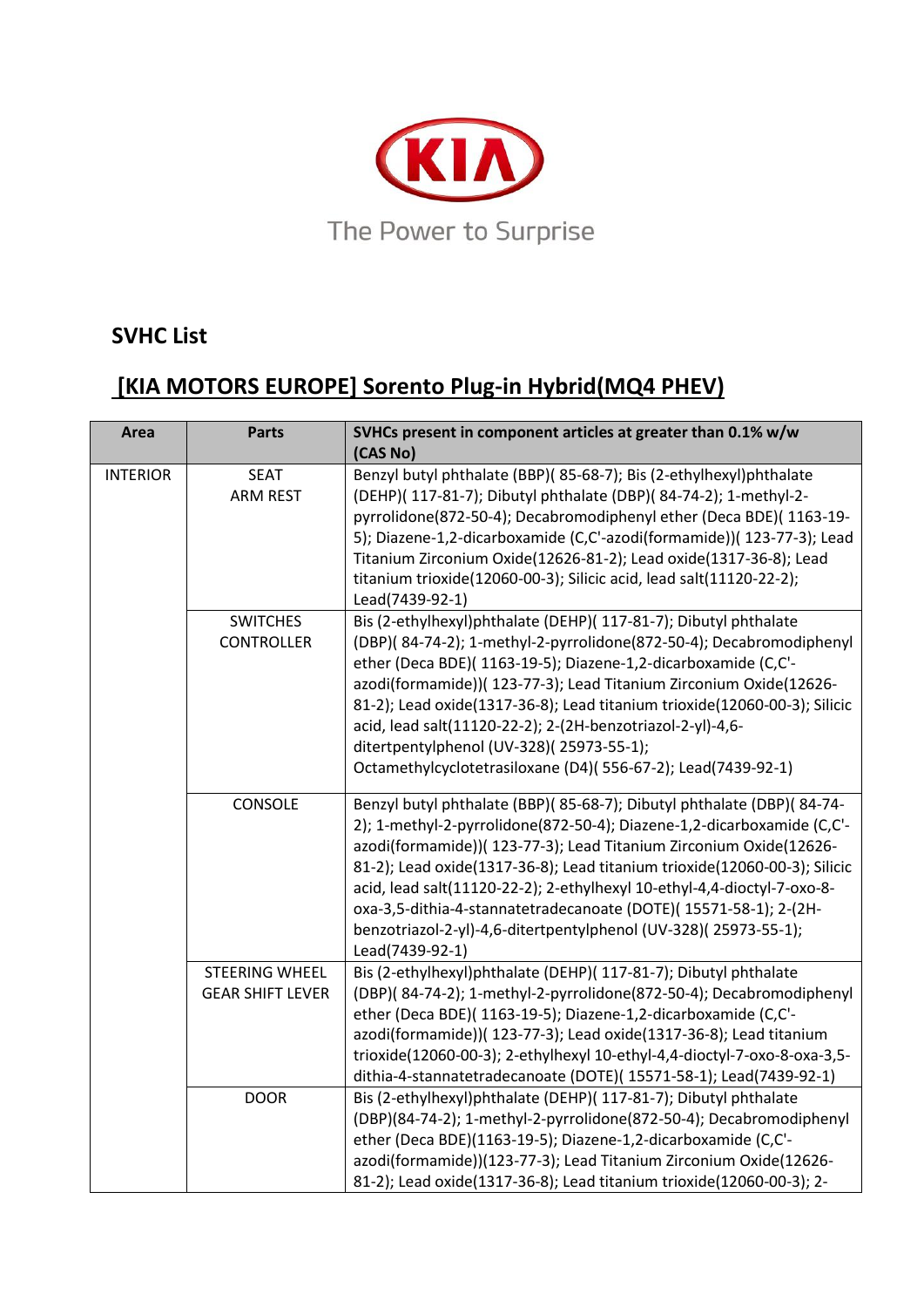

### **SVHC List**

# **[KIA MOTORS EUROPE] Sorento Plug-in Hybrid(MQ4 PHEV)**

| Area            | <b>Parts</b>                                     | SVHCs present in component articles at greater than 0.1% w/w<br>(CAS No)                                                                                                                                                                                                                                                                                                                                                                                                                                                                |
|-----------------|--------------------------------------------------|-----------------------------------------------------------------------------------------------------------------------------------------------------------------------------------------------------------------------------------------------------------------------------------------------------------------------------------------------------------------------------------------------------------------------------------------------------------------------------------------------------------------------------------------|
| <b>INTERIOR</b> | <b>SEAT</b><br><b>ARM REST</b>                   | Benzyl butyl phthalate (BBP)(85-68-7); Bis (2-ethylhexyl)phthalate<br>(DEHP)( 117-81-7); Dibutyl phthalate (DBP)( 84-74-2); 1-methyl-2-<br>pyrrolidone(872-50-4); Decabromodiphenyl ether (Deca BDE)(1163-19-<br>5); Diazene-1,2-dicarboxamide (C,C'-azodi(formamide))( 123-77-3); Lead<br>Titanium Zirconium Oxide(12626-81-2); Lead oxide(1317-36-8); Lead<br>titanium trioxide(12060-00-3); Silicic acid, lead salt(11120-22-2);<br>Lead(7439-92-1)                                                                                  |
|                 | <b>SWITCHES</b><br><b>CONTROLLER</b>             | Bis (2-ethylhexyl)phthalate (DEHP)( 117-81-7); Dibutyl phthalate<br>(DBP)( 84-74-2); 1-methyl-2-pyrrolidone(872-50-4); Decabromodiphenyl<br>ether (Deca BDE)( 1163-19-5); Diazene-1,2-dicarboxamide (C,C'-<br>azodi(formamide))( 123-77-3); Lead Titanium Zirconium Oxide(12626-<br>81-2); Lead oxide(1317-36-8); Lead titanium trioxide(12060-00-3); Silicic<br>acid, lead salt(11120-22-2); 2-(2H-benzotriazol-2-yl)-4,6-<br>ditertpentylphenol (UV-328)(25973-55-1);<br>Octamethylcyclotetrasiloxane (D4)(556-67-2); Lead(7439-92-1) |
|                 | CONSOLE                                          | Benzyl butyl phthalate (BBP)(85-68-7); Dibutyl phthalate (DBP)(84-74-<br>2); 1-methyl-2-pyrrolidone(872-50-4); Diazene-1,2-dicarboxamide (C,C'-<br>azodi(formamide))( 123-77-3); Lead Titanium Zirconium Oxide(12626-<br>81-2); Lead oxide(1317-36-8); Lead titanium trioxide(12060-00-3); Silicic<br>acid, lead salt(11120-22-2); 2-ethylhexyl 10-ethyl-4,4-dioctyl-7-oxo-8-<br>oxa-3,5-dithia-4-stannatetradecanoate (DOTE)(15571-58-1); 2-(2H-<br>benzotriazol-2-yl)-4,6-ditertpentylphenol (UV-328)(25973-55-1);<br>Lead(7439-92-1) |
|                 | <b>STEERING WHEEL</b><br><b>GEAR SHIFT LEVER</b> | Bis (2-ethylhexyl)phthalate (DEHP)( 117-81-7); Dibutyl phthalate<br>(DBP)(84-74-2); 1-methyl-2-pyrrolidone(872-50-4); Decabromodiphenyl<br>ether (Deca BDE)( 1163-19-5); Diazene-1,2-dicarboxamide (C,C'-<br>azodi(formamide))( 123-77-3); Lead oxide(1317-36-8); Lead titanium<br>trioxide(12060-00-3); 2-ethylhexyl 10-ethyl-4,4-dioctyl-7-oxo-8-oxa-3,5-<br>dithia-4-stannatetradecanoate (DOTE)(15571-58-1); Lead(7439-92-1)                                                                                                        |
|                 | <b>DOOR</b>                                      | Bis (2-ethylhexyl)phthalate (DEHP)( 117-81-7); Dibutyl phthalate<br>(DBP)(84-74-2); 1-methyl-2-pyrrolidone(872-50-4); Decabromodiphenyl<br>ether (Deca BDE)(1163-19-5); Diazene-1,2-dicarboxamide (C,C'-<br>azodi(formamide))(123-77-3); Lead Titanium Zirconium Oxide(12626-<br>81-2); Lead oxide(1317-36-8); Lead titanium trioxide(12060-00-3); 2-                                                                                                                                                                                   |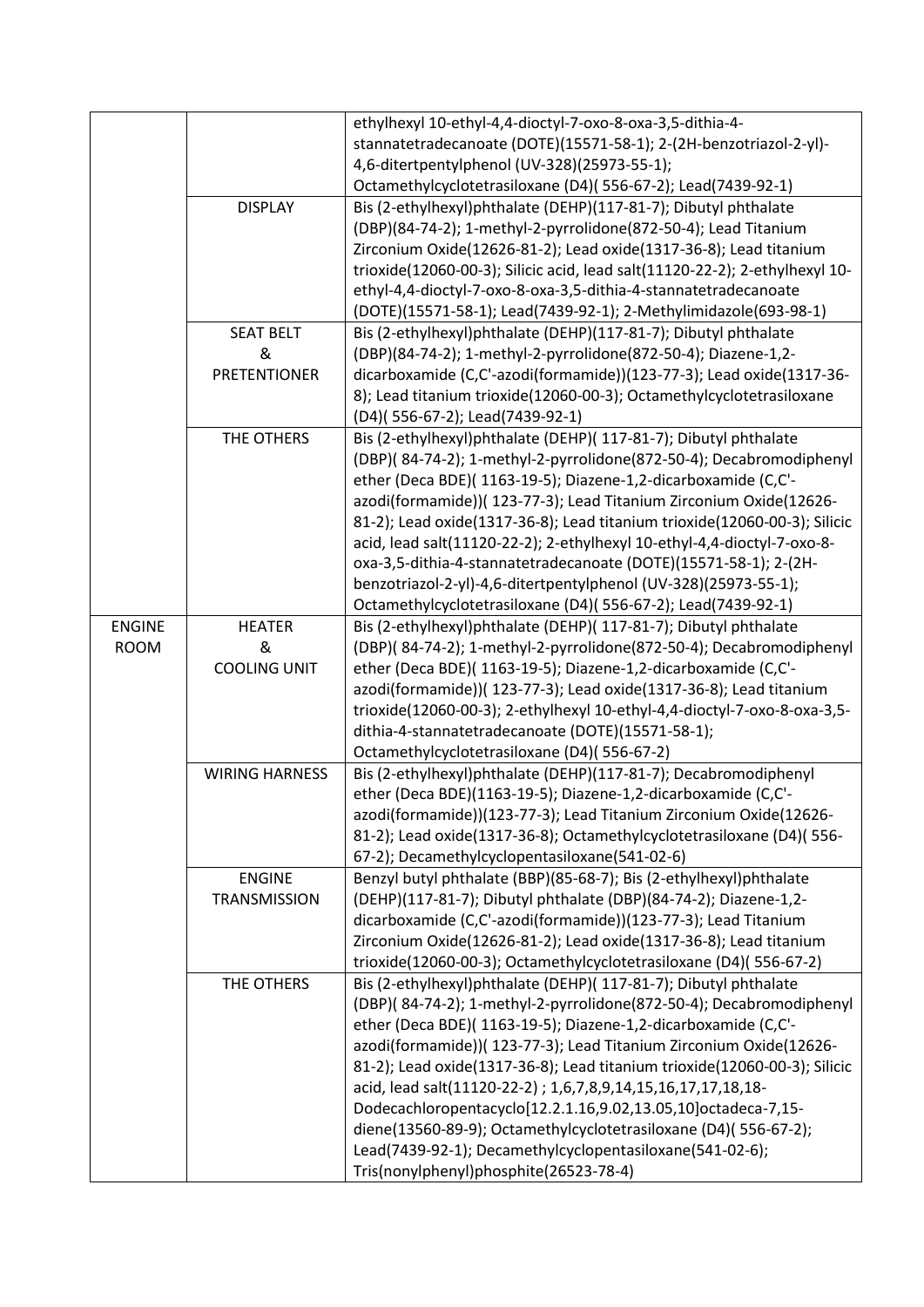|               |                       | ethylhexyl 10-ethyl-4,4-dioctyl-7-oxo-8-oxa-3,5-dithia-4-                   |
|---------------|-----------------------|-----------------------------------------------------------------------------|
|               |                       | stannatetradecanoate (DOTE)(15571-58-1); 2-(2H-benzotriazol-2-yl)-          |
|               |                       | 4,6-ditertpentylphenol (UV-328)(25973-55-1);                                |
|               |                       | Octamethylcyclotetrasiloxane (D4)(556-67-2); Lead(7439-92-1)                |
|               | <b>DISPLAY</b>        | Bis (2-ethylhexyl)phthalate (DEHP)(117-81-7); Dibutyl phthalate             |
|               |                       | (DBP)(84-74-2); 1-methyl-2-pyrrolidone(872-50-4); Lead Titanium             |
|               |                       | Zirconium Oxide(12626-81-2); Lead oxide(1317-36-8); Lead titanium           |
|               |                       | trioxide(12060-00-3); Silicic acid, lead salt(11120-22-2); 2-ethylhexyl 10- |
|               |                       | ethyl-4,4-dioctyl-7-oxo-8-oxa-3,5-dithia-4-stannatetradecanoate             |
|               |                       | (DOTE)(15571-58-1); Lead(7439-92-1); 2-Methylimidazole(693-98-1)            |
|               | <b>SEAT BELT</b>      | Bis (2-ethylhexyl)phthalate (DEHP)(117-81-7); Dibutyl phthalate             |
|               | &                     | (DBP)(84-74-2); 1-methyl-2-pyrrolidone(872-50-4); Diazene-1,2-              |
|               | <b>PRETENTIONER</b>   | dicarboxamide (C,C'-azodi(formamide))(123-77-3); Lead oxide(1317-36-        |
|               |                       | 8); Lead titanium trioxide(12060-00-3); Octamethylcyclotetrasiloxane        |
|               |                       | (D4)(556-67-2); Lead(7439-92-1)                                             |
|               | THE OTHERS            | Bis (2-ethylhexyl)phthalate (DEHP)( 117-81-7); Dibutyl phthalate            |
|               |                       | (DBP)(84-74-2); 1-methyl-2-pyrrolidone(872-50-4); Decabromodiphenyl         |
|               |                       | ether (Deca BDE)( 1163-19-5); Diazene-1,2-dicarboxamide (C,C'-              |
|               |                       | azodi(formamide))( 123-77-3); Lead Titanium Zirconium Oxide(12626-          |
|               |                       | 81-2); Lead oxide(1317-36-8); Lead titanium trioxide(12060-00-3); Silicic   |
|               |                       | acid, lead salt(11120-22-2); 2-ethylhexyl 10-ethyl-4,4-dioctyl-7-oxo-8-     |
|               |                       | oxa-3,5-dithia-4-stannatetradecanoate (DOTE)(15571-58-1); 2-(2H-            |
|               |                       | benzotriazol-2-yl)-4,6-ditertpentylphenol (UV-328)(25973-55-1);             |
|               |                       | Octamethylcyclotetrasiloxane (D4)(556-67-2); Lead(7439-92-1)                |
| <b>ENGINE</b> | <b>HEATER</b>         | Bis (2-ethylhexyl)phthalate (DEHP)( 117-81-7); Dibutyl phthalate            |
| <b>ROOM</b>   | &                     | (DBP)(84-74-2); 1-methyl-2-pyrrolidone(872-50-4); Decabromodiphenyl         |
|               | <b>COOLING UNIT</b>   | ether (Deca BDE)( 1163-19-5); Diazene-1,2-dicarboxamide (C,C'-              |
|               |                       | azodi(formamide))( 123-77-3); Lead oxide(1317-36-8); Lead titanium          |
|               |                       | trioxide(12060-00-3); 2-ethylhexyl 10-ethyl-4,4-dioctyl-7-oxo-8-oxa-3,5-    |
|               |                       | dithia-4-stannatetradecanoate (DOTE)(15571-58-1);                           |
|               |                       |                                                                             |
|               |                       | Octamethylcyclotetrasiloxane (D4)(556-67-2)                                 |
|               | <b>WIRING HARNESS</b> | Bis (2-ethylhexyl)phthalate (DEHP)(117-81-7); Decabromodiphenyl             |
|               |                       | ether (Deca BDE)(1163-19-5); Diazene-1,2-dicarboxamide (C,C'-               |
|               |                       | azodi(formamide))(123-77-3); Lead Titanium Zirconium Oxide(12626-           |
|               |                       | 81-2); Lead oxide(1317-36-8); Octamethylcyclotetrasiloxane (D4)(556-        |
|               |                       | 67-2); Decamethylcyclopentasiloxane(541-02-6)                               |
|               | <b>ENGINE</b>         | Benzyl butyl phthalate (BBP)(85-68-7); Bis (2-ethylhexyl)phthalate          |
|               | <b>TRANSMISSION</b>   | (DEHP)(117-81-7); Dibutyl phthalate (DBP)(84-74-2); Diazene-1,2-            |
|               |                       | dicarboxamide (C,C'-azodi(formamide))(123-77-3); Lead Titanium              |
|               |                       | Zirconium Oxide(12626-81-2); Lead oxide(1317-36-8); Lead titanium           |
|               |                       | trioxide(12060-00-3); Octamethylcyclotetrasiloxane (D4)(556-67-2)           |
|               | THE OTHERS            | Bis (2-ethylhexyl)phthalate (DEHP)( 117-81-7); Dibutyl phthalate            |
|               |                       | (DBP)(84-74-2); 1-methyl-2-pyrrolidone(872-50-4); Decabromodiphenyl         |
|               |                       | ether (Deca BDE)( 1163-19-5); Diazene-1,2-dicarboxamide (C,C'-              |
|               |                       | azodi(formamide))( 123-77-3); Lead Titanium Zirconium Oxide(12626-          |
|               |                       | 81-2); Lead oxide(1317-36-8); Lead titanium trioxide(12060-00-3); Silicic   |
|               |                       | acid, lead salt(11120-22-2) ; 1,6,7,8,9,14,15,16,17,17,18,18-               |
|               |                       | Dodecachloropentacyclo[12.2.1.16,9.02,13.05,10]octadeca-7,15-               |
|               |                       | diene(13560-89-9); Octamethylcyclotetrasiloxane (D4)(556-67-2);             |
|               |                       | Lead(7439-92-1); Decamethylcyclopentasiloxane(541-02-6);                    |
|               |                       | Tris(nonylphenyl)phosphite(26523-78-4)                                      |